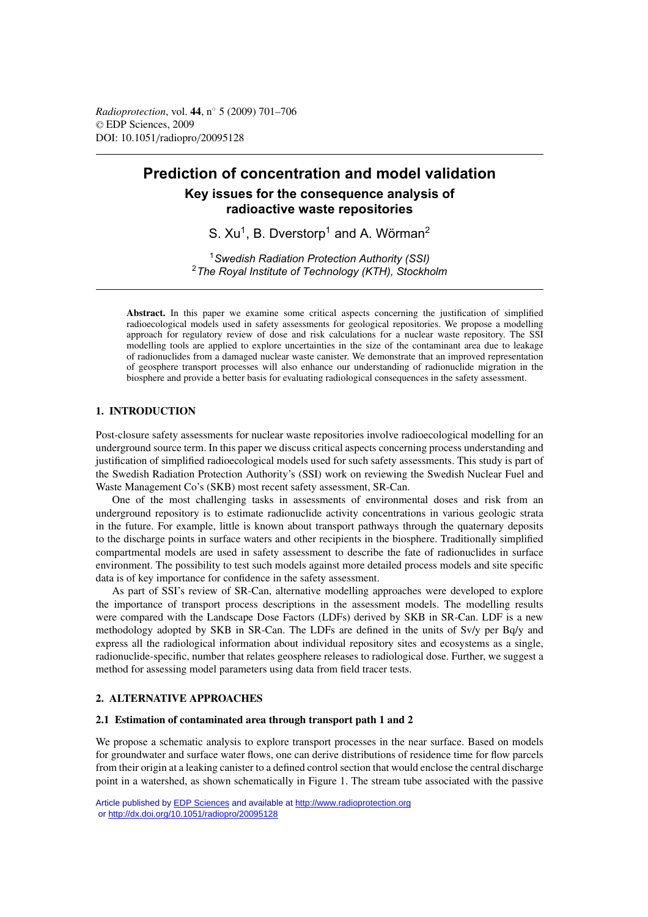*Radioprotection*, vol. **44**, n◦ 5 (2009) 701–706 © EDP Sciences, 2009 DOI: 10.1051/radiopro/20095128

# **Prediction of concentration and model validation Key issues for the consequence analysis of radioactive waste repositories**

S.  $Xu<sup>1</sup>$ . B. Dverstorp<sup>1</sup> and A. Wörman<sup>2</sup>

<sup>1</sup>*Swedish Radiation Protection Authority (SSI)* <sup>2</sup>*The Royal Institute of Technology (KTH), Stockholm*

**Abstract.** In this paper we examine some critical aspects concerning the justification of simplified radioecological models used in safety assessments for geological repositories. We propose a modelling approach for regulatory review of dose and risk calculations for a nuclear waste repository. The SSI modelling tools are applied to explore uncertainties in the size of the contaminant area due to leakage of radionuclides from a damaged nuclear waste canister. We demonstrate that an improved representation of geosphere transport processes will also enhance our understanding of radionuclide migration in the biosphere and provide a better basis for evaluating radiological consequences in the safety assessment.

# **1. INTRODUCTION**

Post-closure safety assessments for nuclear waste repositories involve radioecological modelling for an underground source term. In this paper we discuss critical aspects concerning process understanding and justification of simplified radioecological models used for such safety assessments. This study is part of the Swedish Radiation Protection Authority's (SSI) work on reviewing the Swedish Nuclear Fuel and Waste Management Co's (SKB) most recent safety assessment, SR-Can.

One of the most challenging tasks in assessments of environmental doses and risk from an underground repository is to estimate radionuclide activity concentrations in various geologic strata in the future. For example, little is known about transport pathways through the quaternary deposits to the discharge points in surface waters and other recipients in the biosphere. Traditionally simplified compartmental models are used in safety assessment to describe the fate of radionuclides in surface environment. The possibility to test such models against more detailed process models and site specific data is of key importance for confidence in the safety assessment.

As part of SSI's review of SR-Can, alternative modelling approaches were developed to explore the importance of transport process descriptions in the assessment models. The modelling results were compared with the Landscape Dose Factors (LDFs) derived by SKB in SR-Can. LDF is a new methodology adopted by SKB in SR-Can. The LDFs are defined in the units of Sv/y per Bq/y and express all the radiological information about individual repository sites and ecosystems as a single, radionuclide-specific, number that relates geosphere releases to radiological dose. Further, we suggest a method for assessing model parameters using data from field tracer tests.

# **2. ALTERNATIVE APPROACHES**

# **2.1 Estimation of contaminated area through transport path 1 and 2**

We propose a schematic analysis to explore transport processes in the near surface. Based on models for groundwater and surface water flows, one can derive distributions of residence time for flow parcels from their origin at a leaking canister to a defined control section that would enclose the central discharge point in a watershed, as shown schematically in Figure 1. The stream tube associated with the passive

Article published by [EDP Sciences](http://www.edpsciences.org) and available at<http://www.radioprotection.org> or <http://dx.doi.org/10.1051/radiopro/20095128>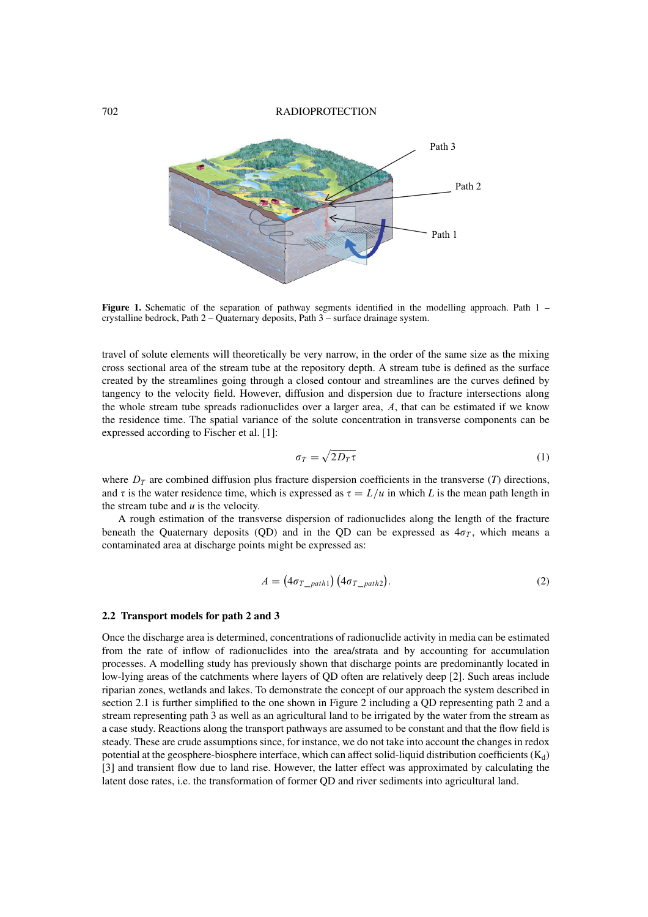702 RADIOPROTECTION



**Figure 1.** Schematic of the separation of pathway segments identified in the modelling approach. Path 1 – crystalline bedrock, Path 2 – Quaternary deposits, Path 3 – surface drainage system.

travel of solute elements will theoretically be very narrow, in the order of the same size as the mixing cross sectional area of the stream tube at the repository depth. A stream tube is defined as the surface created by the streamlines going through a closed contour and streamlines are the curves defined by tangency to the velocity field. However, diffusion and dispersion due to fracture intersections along the whole stream tube spreads radionuclides over a larger area,  $A$ , that can be estimated if we know the residence time. The spatial variance of the solute concentration in transverse components can be expressed according to Fischer et al. [1]:

$$
\sigma_T = \sqrt{2D_T \tau} \tag{1}
$$

where  $D_T$  are combined diffusion plus fracture dispersion coefficients in the transverse (*T*) directions, and  $\tau$  is the water residence time, which is expressed as  $\tau = L/u$  in which *L* is the mean path length in the stream tube and *u* is the velocity.

A rough estimation of the transverse dispersion of radionuclides along the length of the fracture beneath the Quaternary deposits (QD) and in the QD can be expressed as  $4\sigma_T$ , which means a contaminated area at discharge points might be expressed as:

$$
A = (4\sigma_{T\_path1}) (4\sigma_{T\_path2}).
$$
\n(2)

#### **2.2 Transport models for path 2 and 3**

Once the discharge area is determined, concentrations of radionuclide activity in media can be estimated from the rate of inflow of radionuclides into the area/strata and by accounting for accumulation processes. A modelling study has previously shown that discharge points are predominantly located in low-lying areas of the catchments where layers of QD often are relatively deep [2]. Such areas include riparian zones, wetlands and lakes. To demonstrate the concept of our approach the system described in section 2.1 is further simplified to the one shown in Figure 2 including a QD representing path 2 and a stream representing path 3 as well as an agricultural land to be irrigated by the water from the stream as a case study. Reactions along the transport pathways are assumed to be constant and that the flow field is steady. These are crude assumptions since, for instance, we do not take into account the changes in redox potential at the geosphere-biosphere interface, which can affect solid-liquid distribution coefficients  $(K_d)$ [3] and transient flow due to land rise. However, the latter effect was approximated by calculating the latent dose rates, i.e. the transformation of former QD and river sediments into agricultural land.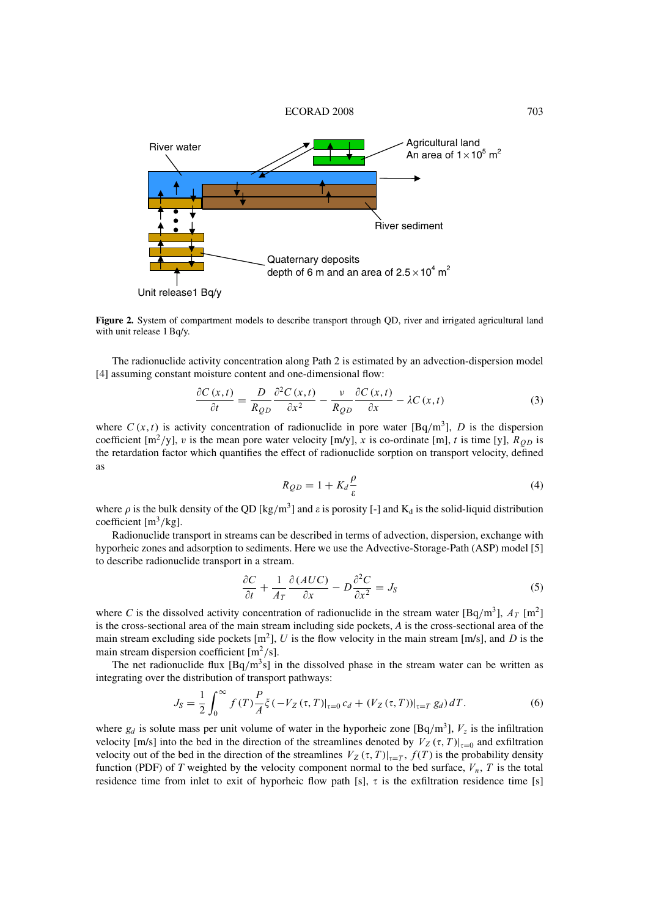

**Figure 2.** System of compartment models to describe transport through QD, river and irrigated agricultural land with unit release 1 Bq/y.

The radionuclide activity concentration along Path 2 is estimated by an advection-dispersion model [4] assuming constant moisture content and one-dimensional flow:

$$
\frac{\partial C(x,t)}{\partial t} = \frac{D}{R_{OD}} \frac{\partial^2 C(x,t)}{\partial x^2} - \frac{v}{R_{OD}} \frac{\partial C(x,t)}{\partial x} - \lambda C(x,t)
$$
(3)

where  $C(x, t)$  is activity concentration of radionuclide in pore water  $[Bq/m^3]$ , D is the dispersion coefficient  $[m^2/y]$ , v is the mean pore water velocity  $[m/y]$ , x is co-ordinate [m], t is time [y],  $R_{OD}$  is the retardation factor which quantifies the effect of radionuclide sorption on transport velocity, defined as

$$
R_{QD} = 1 + K_d \frac{\rho}{\varepsilon} \tag{4}
$$

where  $\rho$  is the bulk density of the QD [kg/m<sup>3</sup>] and  $\varepsilon$  is porosity [-] and K<sub>d</sub> is the solid-liquid distribution coefficient  $[m^3/kg]$ .

Radionuclide transport in streams can be described in terms of advection, dispersion, exchange with hyporheic zones and adsorption to sediments. Here we use the Advective-Storage-Path (ASP) model [5] to describe radionuclide transport in a stream.

$$
\frac{\partial C}{\partial t} + \frac{1}{A_T} \frac{\partial (AUC)}{\partial x} - D \frac{\partial^2 C}{\partial x^2} = J_S \tag{5}
$$

where *C* is the dissolved activity concentration of radionuclide in the stream water [Bq/m<sup>3</sup>],  $A_T$  [m<sup>2</sup>] is the cross-sectional area of the main stream including side pockets, *A* is the cross-sectional area of the main stream excluding side pockets  $[m^2]$ , U is the flow velocity in the main stream  $[m/s]$ , and D is the main stream dispersion coefficient  $[m^2/s]$ .

The net radionuclide flux  $[Bq/m^3s]$  in the dissolved phase in the stream water can be written as integrating over the distribution of transport pathways:

$$
J_S = \frac{1}{2} \int_0^\infty f(T) \frac{P}{A} \xi(-V_Z(\tau, T)|_{\tau=0} c_d + (V_Z(\tau, T))|_{\tau=T} g_d) dT.
$$
 (6)

where  $g_d$  is solute mass per unit volume of water in the hyporheic zone  $[\text{Bq/m}^3]$ ,  $V_z$  is the infiltration velocity [m/s] into the bed in the direction of the streamlines denoted by  $V_Z(\tau, T)|_{\tau=0}$  and exfiltration velocity out of the bed in the direction of the streamlines  $V_Z(\tau, T)|_{\tau=T}$ ,  $f(T)$  is the probability density function (PDF) of *T* weighted by the velocity component normal to the bed surface,  $V_n$ , *T* is the total residence time from inlet to exit of hyporheic flow path [s],  $\tau$  is the exfiltration residence time [s]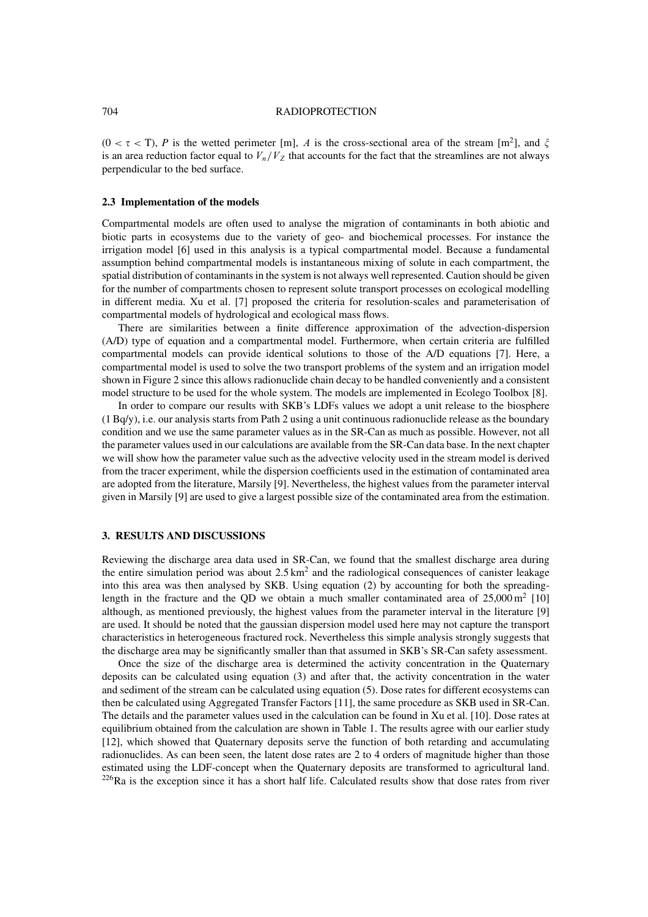#### 704 RADIOPROTECTION

 $(0 < \tau < T)$ , *P* is the wetted perimeter [m], *A* is the cross-sectional area of the stream [m<sup>2</sup>], and  $\xi$ is an area reduction factor equal to  $V_n/V_Z$  that accounts for the fact that the streamlines are not always perpendicular to the bed surface.

#### **2.3 Implementation of the models**

Compartmental models are often used to analyse the migration of contaminants in both abiotic and biotic parts in ecosystems due to the variety of geo- and biochemical processes. For instance the irrigation model [6] used in this analysis is a typical compartmental model. Because a fundamental assumption behind compartmental models is instantaneous mixing of solute in each compartment, the spatial distribution of contaminants in the system is not always well represented. Caution should be given for the number of compartments chosen to represent solute transport processes on ecological modelling in different media. Xu et al. [7] proposed the criteria for resolution-scales and parameterisation of compartmental models of hydrological and ecological mass flows.

There are similarities between a finite difference approximation of the advection-dispersion (A/D) type of equation and a compartmental model. Furthermore, when certain criteria are fulfilled compartmental models can provide identical solutions to those of the A/D equations [7]. Here, a compartmental model is used to solve the two transport problems of the system and an irrigation model shown in Figure 2 since this allows radionuclide chain decay to be handled conveniently and a consistent model structure to be used for the whole system. The models are implemented in Ecolego Toolbox [8].

In order to compare our results with SKB's LDFs values we adopt a unit release to the biosphere (1 Bq/y), i.e. our analysis starts from Path 2 using a unit continuous radionuclide release as the boundary condition and we use the same parameter values as in the SR-Can as much as possible. However, not all the parameter values used in our calculations are available from the SR-Can data base. In the next chapter we will show how the parameter value such as the advective velocity used in the stream model is derived from the tracer experiment, while the dispersion coefficients used in the estimation of contaminated area are adopted from the literature, Marsily [9]. Nevertheless, the highest values from the parameter interval given in Marsily [9] are used to give a largest possible size of the contaminated area from the estimation.

# **3. RESULTS AND DISCUSSIONS**

Reviewing the discharge area data used in SR-Can, we found that the smallest discharge area during the entire simulation period was about  $2.5 \text{ km}^2$  and the radiological consequences of canister leakage into this area was then analysed by SKB. Using equation (2) by accounting for both the spreadinglength in the fracture and the QD we obtain a much smaller contaminated area of  $25,000 \,\mathrm{m}^2$  [10] although, as mentioned previously, the highest values from the parameter interval in the literature [9] are used. It should be noted that the gaussian dispersion model used here may not capture the transport characteristics in heterogeneous fractured rock. Nevertheless this simple analysis strongly suggests that the discharge area may be significantly smaller than that assumed in SKB's SR-Can safety assessment.

Once the size of the discharge area is determined the activity concentration in the Quaternary deposits can be calculated using equation (3) and after that, the activity concentration in the water and sediment of the stream can be calculated using equation (5). Dose rates for different ecosystems can then be calculated using Aggregated Transfer Factors [11], the same procedure as SKB used in SR-Can. The details and the parameter values used in the calculation can be found in Xu et al. [10]. Dose rates at equilibrium obtained from the calculation are shown in Table 1. The results agree with our earlier study [12], which showed that Quaternary deposits serve the function of both retarding and accumulating radionuclides. As can been seen, the latent dose rates are 2 to 4 orders of magnitude higher than those estimated using the LDF-concept when the Quaternary deposits are transformed to agricultural land.  $226$ Ra is the exception since it has a short half life. Calculated results show that dose rates from river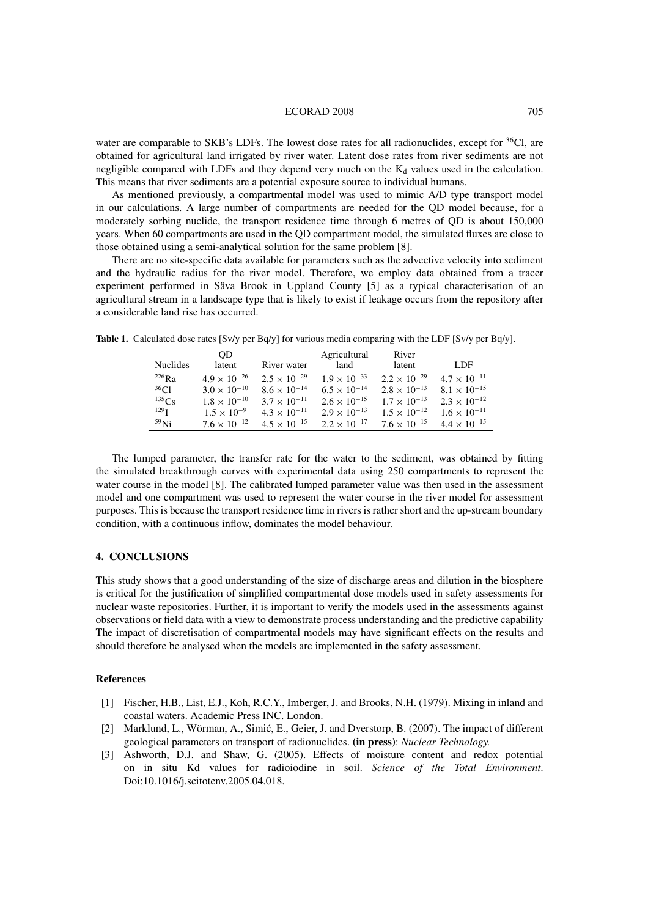#### ECORAD 2008 705

water are comparable to SKB's LDFs. The lowest dose rates for all radionuclides, except for <sup>36</sup>Cl, are obtained for agricultural land irrigated by river water. Latent dose rates from river sediments are not negligible compared with LDFs and they depend very much on the  $K_d$  values used in the calculation. This means that river sediments are a potential exposure source to individual humans.

As mentioned previously, a compartmental model was used to mimic A/D type transport model in our calculations. A large number of compartments are needed for the QD model because, for a moderately sorbing nuclide, the transport residence time through 6 metres of QD is about 150,000 years. When 60 compartments are used in the QD compartment model, the simulated fluxes are close to those obtained using a semi-analytical solution for the same problem [8].

There are no site-specific data available for parameters such as the advective velocity into sediment and the hydraulic radius for the river model. Therefore, we employ data obtained from a tracer experiment performed in Säva Brook in Uppland County [5] as a typical characterisation of an agricultural stream in a landscape type that is likely to exist if leakage occurs from the repository after a considerable land rise has occurred.

|                         | <b>OD</b>             |                       | Agricultural          | River                 |                       |
|-------------------------|-----------------------|-----------------------|-----------------------|-----------------------|-----------------------|
| <b>Nuclides</b>         | latent                | River water           | land                  | latent                | LDF.                  |
| $^{226}$ R <sub>a</sub> | $4.9 \times 10^{-26}$ | $2.5 \times 10^{-29}$ | $1.9 \times 10^{-33}$ | $2.2 \times 10^{-29}$ | $4.7 \times 10^{-11}$ |
| $^{36}Cl$               | $3.0 \times 10^{-10}$ | $8.6 \times 10^{-14}$ | $6.5 \times 10^{-14}$ | $2.8 \times 10^{-13}$ | $8.1 \times 10^{-15}$ |
| $^{135}Cs$              | $1.8 \times 10^{-10}$ | $3.7 \times 10^{-11}$ | $2.6 \times 10^{-15}$ | $1.7 \times 10^{-13}$ | $2.3 \times 10^{-12}$ |
| $129$ T                 | $1.5 \times 10^{-9}$  | $4.3 \times 10^{-11}$ | $2.9 \times 10^{-13}$ | $1.5 \times 10^{-12}$ | $1.6 \times 10^{-11}$ |
| $59$ Ni                 | $7.6 \times 10^{-12}$ | $4.5 \times 10^{-15}$ | $2.2 \times 10^{-17}$ | $7.6 \times 10^{-15}$ | $4.4 \times 10^{-15}$ |

**Table 1.** Calculated dose rates [Sv/y per Bq/y] for various media comparing with the LDF [Sv/y per Bq/y].

The lumped parameter, the transfer rate for the water to the sediment, was obtained by fitting the simulated breakthrough curves with experimental data using 250 compartments to represent the water course in the model [8]. The calibrated lumped parameter value was then used in the assessment model and one compartment was used to represent the water course in the river model for assessment purposes. This is because the transport residence time in rivers is rather short and the up-stream boundary condition, with a continuous inflow, dominates the model behaviour.

## **4. CONCLUSIONS**

This study shows that a good understanding of the size of discharge areas and dilution in the biosphere is critical for the justification of simplified compartmental dose models used in safety assessments for nuclear waste repositories. Further, it is important to verify the models used in the assessments against observations or field data with a view to demonstrate process understanding and the predictive capability The impact of discretisation of compartmental models may have significant effects on the results and should therefore be analysed when the models are implemented in the safety assessment.

#### **References**

- [1] Fischer, H.B., List, E.J., Koh, R.C.Y., Imberger, J. and Brooks, N.H. (1979). Mixing in inland and coastal waters. Academic Press INC. London.
- [2] Marklund, L., Wörman, A., Simic, E., Geier, J. and Dverstorp, B. (2007). The impact of different ´ geological parameters on transport of radionuclides. **(in press)**: *Nuclear Technology.*
- [3] Ashworth, D.J. and Shaw, G. (2005). Effects of moisture content and redox potential on in situ Kd values for radioiodine in soil. *Science of the Total Environment*. Doi:10.1016/j.scitotenv.2005.04.018.